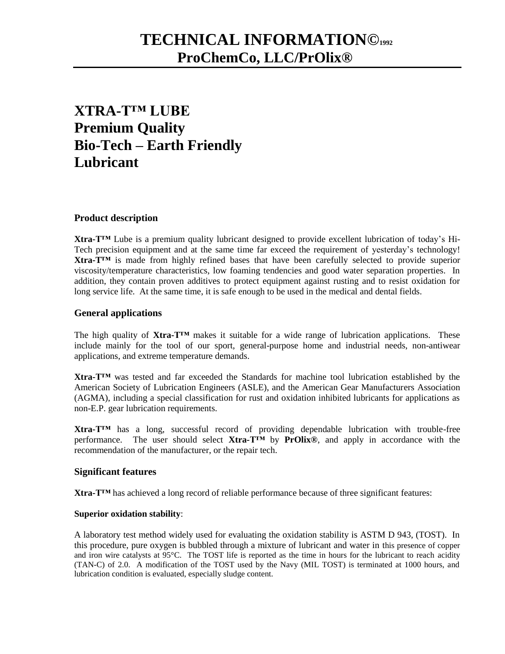# **TECHNICAL INFORMATION©<sup>1992</sup> ProChemCo, LLC/PrOlix®**

## **XTRA-T™ LUBE Premium Quality Bio-Tech – Earth Friendly Lubricant**

## **Product description**

**Xtra-T™** Lube is a premium quality lubricant designed to provide excellent lubrication of today's Hi-Tech precision equipment and at the same time far exceed the requirement of yesterday's technology! **Xtra-T™** is made from highly refined bases that have been carefully selected to provide superior viscosity/temperature characteristics, low foaming tendencies and good water separation properties. In addition, they contain proven additives to protect equipment against rusting and to resist oxidation for long service life. At the same time, it is safe enough to be used in the medical and dental fields.

## **General applications**

The high quality of **Xtra-T™** makes it suitable for a wide range of lubrication applications. These include mainly for the tool of our sport, general-purpose home and industrial needs, non-antiwear applications, and extreme temperature demands.

**Xtra-T™** was tested and far exceeded the Standards for machine tool lubrication established by the American Society of Lubrication Engineers (ASLE), and the American Gear Manufacturers Association (AGMA), including a special classification for rust and oxidation inhibited lubricants for applications as non-E.P. gear lubrication requirements.

**Xtra-T™** has a long, successful record of providing dependable lubrication with trouble-free performance. The user should select **Xtra-T™** by **PrOlix®**, and apply in accordance with the recommendation of the manufacturer, or the repair tech.

### **Significant features**

**Xtra-T™** has achieved a long record of reliable performance because of three significant features:

### **Superior oxidation stability**:

A laboratory test method widely used for evaluating the oxidation stability is ASTM D 943, (TOST). In this procedure, pure oxygen is bubbled through a mixture of lubricant and water in this presence of copper and iron wire catalysts at  $95^{\circ}$ C. The TOST life is reported as the time in hours for the lubricant to reach acidity (TAN-C) of 2.0. A modification of the TOST used by the Navy (MIL TOST) is terminated at 1000 hours, and lubrication condition is evaluated, especially sludge content.